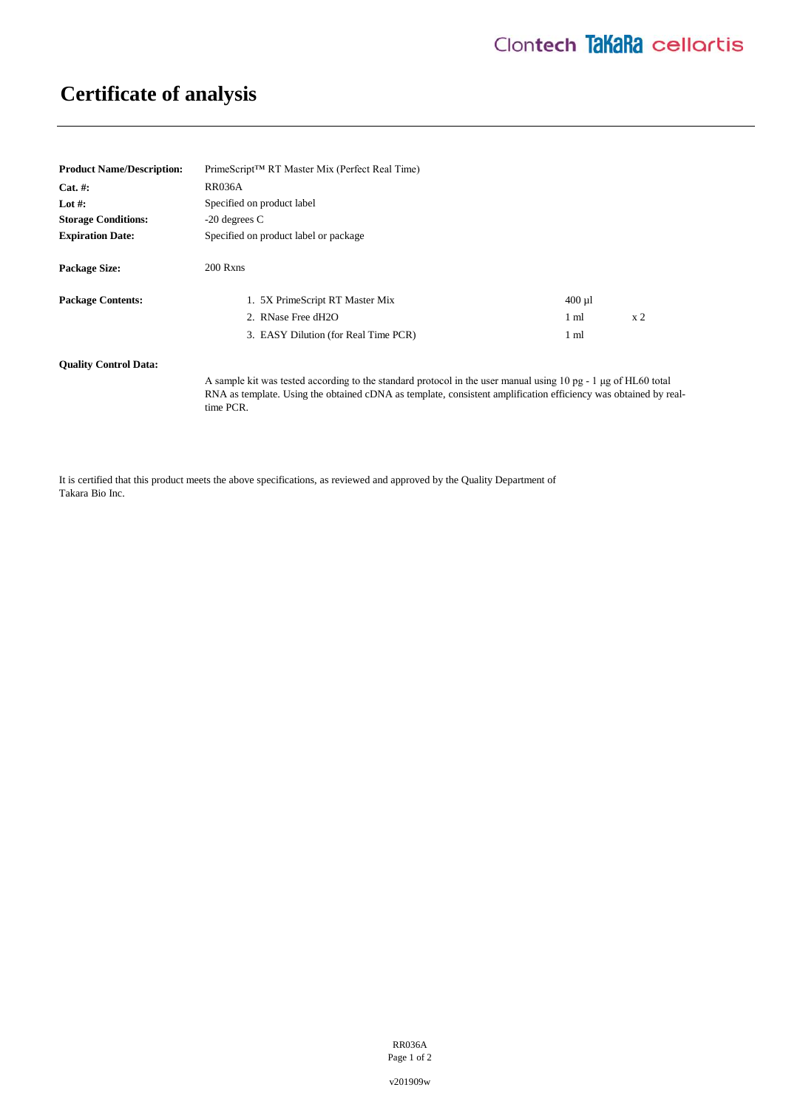## **Certificate of analysis**

| <b>Product Name/Description:</b> | PrimeScript <sup>™</sup> RT Master Mix (Perfect Real Time)                                                                                                                                                                                     |                 |                |
|----------------------------------|------------------------------------------------------------------------------------------------------------------------------------------------------------------------------------------------------------------------------------------------|-----------------|----------------|
| $Cat. \#:$                       | <b>RR036A</b>                                                                                                                                                                                                                                  |                 |                |
| Lot #:                           | Specified on product label                                                                                                                                                                                                                     |                 |                |
| <b>Storage Conditions:</b>       | $-20$ degrees C                                                                                                                                                                                                                                |                 |                |
| <b>Expiration Date:</b>          | Specified on product label or package                                                                                                                                                                                                          |                 |                |
| <b>Package Size:</b>             | 200 Rxns                                                                                                                                                                                                                                       |                 |                |
| <b>Package Contents:</b>         | 1. 5X PrimeScript RT Master Mix                                                                                                                                                                                                                | $400 \mu$       |                |
|                                  | 2. RNase Free dH2O                                                                                                                                                                                                                             | 1 <sub>m1</sub> | x <sub>2</sub> |
|                                  | 3. EASY Dilution (for Real Time PCR)                                                                                                                                                                                                           | $1 \text{ ml}$  |                |
| <b>Ouality Control Data:</b>     |                                                                                                                                                                                                                                                |                 |                |
|                                  | A sample kit was tested according to the standard protocol in the user manual using 10 pg - 1 µg of HL60 total<br>RNA as template. Using the obtained cDNA as template, consistent amplification efficiency was obtained by real-<br>time PCR. |                 |                |

It is certified that this product meets the above specifications, as reviewed and approved by the Quality Department of Takara Bio Inc.

> RR036A Page 1 of 2

v201909w